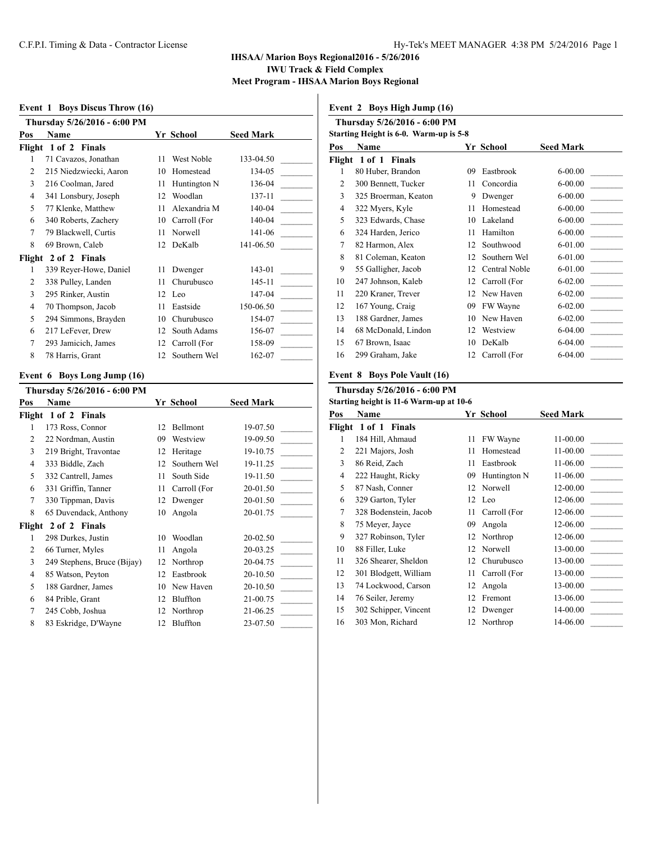#### **Event 1 Boys Discus Throw (16)**

**Thursday 5/26/2016 - 6:00 PM Pos Name Yr School Seed Mark Flight 1 of 2 Finals** 1 71 Cavazos, Jonathan 11 West Noble 133-04.50 2 215 Niedzwiecki, Aaron 10 Homestead 134-05 3 216 Coolman, Jared 11 Huntington N 136-04 4 341 Lonsbury, Joseph 12 Woodlan 137-11 5 77 Klenke, Matthew 11 Alexandria M 140-04 6 340 Roberts, Zachery 10 Carroll (For 140-04 7 79 Blackwell, Curtis 11 Norwell 141-06 8 69 Brown, Caleb 12 DeKalb 141-06.50 **Flight 2 of 2 Finals** 1 339 Reyer-Howe, Daniel 11 Dwenger 143-01 2 338 Pulley, Landen 11 Churubusco 145-11 3 295 Rinker, Austin 12 Leo 147-04 4 70 Thompson, Jacob 11 Eastside 150-06.50 5 294 Simmons, Brayden 10 Churubusco 154-07 6 217 LeFever, Drew 12 South Adams 156-07 7 293 Jamicich, James 12 Carroll (For 158-09 8 78 Harris, Grant 12 Southern Wel 162-07

#### **Event 6 Boys Long Jump (16)**

|                | Thursday 5/26/2016 - 6:00 PM |    |              |                  |
|----------------|------------------------------|----|--------------|------------------|
| Pos            | Name                         |    | Yr School    | <b>Seed Mark</b> |
| Flight         | 1 of 2 Finals                |    |              |                  |
| 1              | 173 Ross, Connor             | 12 | Bellmont     | 19-07.50         |
| $\overline{c}$ | 22 Nordman, Austin           | 09 | Westview     | 19-09.50         |
| 3              | 219 Bright, Travontae        | 12 | Heritage     | 19-10.75         |
| 4              | 333 Biddle, Zach             | 12 | Southern Wel | 19-11.25         |
| 5              | 332 Cantrell, James          | 11 | South Side   | 19-11.50         |
| 6              | 331 Griffin, Tanner          | 11 | Carroll (For | 20-01.50         |
| 7              | 330 Tippman, Davis           | 12 | Dwenger      | 20-01.50         |
| 8              | 65 Duvendack, Anthony        | 10 | Angola       | 20-01.75         |
| Flight         | 2 of 2 Finals                |    |              |                  |
| 1              | 298 Durkes, Justin           | 10 | Woodlan      | 20-02.50         |
| $\overline{c}$ | 66 Turner, Myles             | 11 | Angola       | 20-03.25         |
| 3              | 249 Stephens, Bruce (Bijay)  | 12 | Northrop     | 20-04.75         |
| 4              | 85 Watson, Peyton            | 12 | Eastbrook    | 20-10.50         |
| 5              | 188 Gardner, James           | 10 | New Haven    | 20-10.50         |
| 6              | 84 Prible, Grant             | 12 | Bluffton     | 21-00.75         |
| 7              | 245 Cobb, Joshua             | 12 | Northrop     | 21-06.25         |
| 8              | 83 Eskridge, D'Wayne         | 12 | Bluffton     | 23-07.50         |

**Event 2 Boys High Jump (16)**

| Thursday 5/26/2016 - 6:00 PM |                                        |    |               |                  |  |  |
|------------------------------|----------------------------------------|----|---------------|------------------|--|--|
|                              | Starting Height is 6-0. Warm-up is 5-8 |    |               |                  |  |  |
| Pos                          | Name                                   |    | Yr School     | <b>Seed Mark</b> |  |  |
| Flight                       | 1 of 1<br>Finals                       |    |               |                  |  |  |
| 1                            | 80 Huber, Brandon                      | 09 | Eastbrook     | $6 - 00.00$      |  |  |
| 2                            | 300 Bennett, Tucker                    | 11 | Concordia     | $6 - 00.00$      |  |  |
| 3                            | 325 Broerman, Keaton                   | 9  | Dwenger       | $6 - 00.00$      |  |  |
| 4                            | 322 Myers, Kyle                        | 11 | Homestead     | $6 - 00.00$      |  |  |
| 5                            | 323 Edwards, Chase                     | 10 | Lakeland      | $6 - 00.00$      |  |  |
| 6                            | 324 Harden, Jerico                     | 11 | Hamilton      | $6 - 00.00$      |  |  |
| 7                            | 82 Harmon, Alex                        | 12 | Southwood     | 6-01.00          |  |  |
| 8                            | 81 Coleman, Keaton                     | 12 | Southern Wel  | $6-01.00$        |  |  |
| 9                            | 55 Galligher, Jacob                    | 12 | Central Noble | 6-01.00          |  |  |
| 10                           | 247 Johnson, Kaleb                     | 12 | Carroll (For  | $6 - 02.00$      |  |  |
| 11                           | 220 Kraner, Trever                     | 12 | New Haven     | $6 - 02.00$      |  |  |
| 12                           | 167 Young, Craig                       | 09 | FW Wayne      | $6 - 02.00$      |  |  |
| 13                           | 188 Gardner, James                     | 10 | New Haven     | $6 - 02.00$      |  |  |
| 14                           | 68 McDonald, Lindon                    | 12 | Westview      | $6-04.00$        |  |  |
| 15                           | 67 Brown, Isaac                        | 10 | DeKalb        | $6-04.00$        |  |  |
| 16                           | 299 Graham, Jake                       | 12 | Carroll (For  | $6-04.00$        |  |  |
|                              |                                        |    |               |                  |  |  |

#### **Event 8 Boys Pole Vault (16)**

# **Thursday 5/26/2016 - 6:00 PM**

| Starting height is 11-6 Warm-up at 10-6 |                       |    |              |                  |  |
|-----------------------------------------|-----------------------|----|--------------|------------------|--|
| Pos                                     | Name                  |    | Yr School    | <b>Seed Mark</b> |  |
| Flight                                  | 1 of 1 Finals         |    |              |                  |  |
| 1                                       | 184 Hill, Ahmaud      | 11 | FW Wayne     | $11-00.00$       |  |
| 2                                       | 221 Majors, Josh      | 11 | Homestead    | 11-00.00         |  |
| 3                                       | 86 Reid, Zach         | 11 | Eastbrook    | 11-06.00         |  |
| 4                                       | 222 Haught, Ricky     | 09 | Huntington N | 11-06.00         |  |
| 5                                       | 87 Nash, Conner       |    | 12 Norwell   | 12-00.00         |  |
| 6                                       | 329 Garton, Tyler     |    | 12 Leo       | 12-06.00         |  |
| 7                                       | 328 Bodenstein, Jacob | 11 | Carroll (For | 12-06.00         |  |
| 8                                       | 75 Meyer, Jayce       | 09 | Angola       | 12-06.00         |  |
| 9                                       | 327 Robinson, Tyler   | 12 | Northrop     | 12-06.00         |  |
| 10                                      | 88 Filler, Luke       | 12 | Norwell      | 13-00.00         |  |
| 11                                      | 326 Shearer, Sheldon  | 12 | Churubusco   | 13-00.00         |  |
| 12                                      | 301 Blodgett, William | 11 | Carroll (For | 13-00.00         |  |
| 13                                      | 74 Lockwood, Carson   | 12 | Angola       | 13-00.00         |  |
| 14                                      | 76 Seiler, Jeremy     | 12 | Fremont      | 13-06.00         |  |
| 15                                      | 302 Schipper, Vincent | 12 | Dwenger      | 14-00.00         |  |
| 16                                      | 303 Mon, Richard      | 12 | Northrop     | 14-06.00         |  |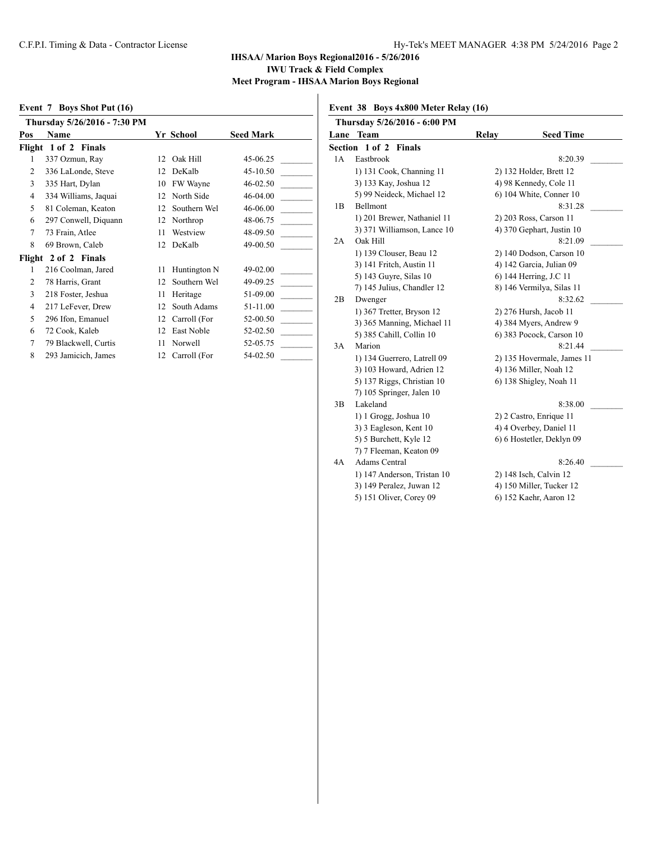### **Event 7 Boys Shot Put (16)**

|                | Thursday 5/26/2016 - 7:30 PM |    |              |                  |
|----------------|------------------------------|----|--------------|------------------|
| Pos            | Name                         |    | Yr School    | <b>Seed Mark</b> |
|                | Flight 1 of 2 Finals         |    |              |                  |
| 1              | 337 Ozmun, Ray               | 12 | Oak Hill     | 45-06.25         |
| $\overline{c}$ | 336 LaLonde, Steve           | 12 | DeKalb       | 45-10.50         |
| 3              | 335 Hart, Dylan              | 10 | FW Wayne     | 46-02.50         |
| 4              | 334 Williams, Jaquai         | 12 | North Side   | 46-04.00         |
| 5              | 81 Coleman, Keaton           | 12 | Southern Wel | 46-06.00         |
| 6              | 297 Conwell, Diquann         | 12 | Northrop     | 48-06.75         |
| 7              | 73 Frain, Atlee              | 11 | Westview     | 48-09.50         |
| 8              | 69 Brown, Caleb              | 12 | DeKalb       | 49-00.50         |
| Flight         | 2 of 2 Finals                |    |              |                  |
| 1              | 216 Coolman, Jared           | 11 | Huntington N | 49-02.00         |
| $\overline{2}$ | 78 Harris, Grant             | 12 | Southern Wel | 49-09.25         |
| 3              | 218 Foster, Jeshua           | 11 | Heritage     | 51-09.00         |
| 4              | 217 LeFever, Drew            | 12 | South Adams  | 51-11.00         |
| 5              | 296 Ifon, Emanuel            | 12 | Carroll (For | 52-00.50         |
| 6              | 72 Cook, Kaleb               | 12 | East Noble   | 52-02.50         |
| 7              | 79 Blackwell, Curtis         | 11 | Norwell      | 52-05.75         |
| 8              | 293 Jamicich, James          | 12 | Carroll (For | 54-02.50         |

### **Event 38 Boys 4x800 Meter Relay (16)**

|    | Thursday 5/26/2016 - 6:00 PM |       |                            |
|----|------------------------------|-------|----------------------------|
|    | Lane Team                    | Relay | <b>Seed Time</b>           |
|    | Section 1 of 2 Finals        |       |                            |
| 1A | Eastbrook                    |       | 8:20.39                    |
|    | 1) 131 Cook, Channing 11     |       | 2) 132 Holder, Brett 12    |
|    | 3) 133 Kay, Joshua 12        |       | 4) 98 Kennedy, Cole 11     |
|    | 5) 99 Neideck, Michael 12    |       | 6) 104 White, Conner 10    |
| 1B | <b>Bellmont</b>              |       | 8:31.28                    |
|    | 1) 201 Brewer, Nathaniel 11  |       | 2) 203 Ross, Carson 11     |
|    | 3) 371 Williamson, Lance 10  |       | 4) 370 Gephart, Justin 10  |
| 2A | Oak Hill                     |       | 8:21.09                    |
|    | 1) 139 Clouser, Beau 12      |       | 2) 140 Dodson, Carson 10   |
|    | 3) 141 Fritch, Austin 11     |       | 4) 142 Garcia, Julian 09   |
|    | 5) 143 Guyre, Silas 10       |       | 6) 144 Herring, J.C 11     |
|    | 7) 145 Julius, Chandler 12   |       | 8) 146 Vermilya, Silas 11  |
| 2B | Dwenger                      |       | 8:32.62                    |
|    | 1) 367 Tretter, Bryson 12    |       | 2) 276 Hursh, Jacob 11     |
|    | 3) 365 Manning, Michael 11   |       | 4) 384 Myers, Andrew 9     |
|    | 5) 385 Cahill, Collin 10     |       | 6) 383 Pocock, Carson 10   |
| 3A | Marion                       |       | 8:21.44                    |
|    | 1) 134 Guerrero, Latrell 09  |       | 2) 135 Hovermale, James 11 |
|    | 3) 103 Howard, Adrien 12     |       | 4) 136 Miller, Noah 12     |
|    | 5) 137 Riggs, Christian 10   |       | 6) 138 Shigley, Noah 11    |
|    | 7) 105 Springer, Jalen 10    |       |                            |
| 3B | Lakeland                     |       | 8:38.00                    |
|    | 1) 1 Grogg, Joshua 10        |       | 2) 2 Castro, Enrique 11    |
|    | 3) 3 Eagleson, Kent 10       |       | 4) 4 Overbey, Daniel 11    |
|    | 5) 5 Burchett, Kyle 12       |       | 6) 6 Hostetler, Deklyn 09  |
|    | 7) 7 Fleeman, Keaton 09      |       |                            |
| 4A | <b>Adams Central</b>         |       | 8:26.40                    |
|    | 1) 147 Anderson, Tristan 10  |       | 2) 148 Isch, Calvin 12     |
|    | 3) 149 Peralez, Juwan 12     |       | 4) 150 Miller, Tucker 12   |
|    | 5) 151 Oliver, Corey 09      |       | 6) 152 Kaehr, Aaron 12     |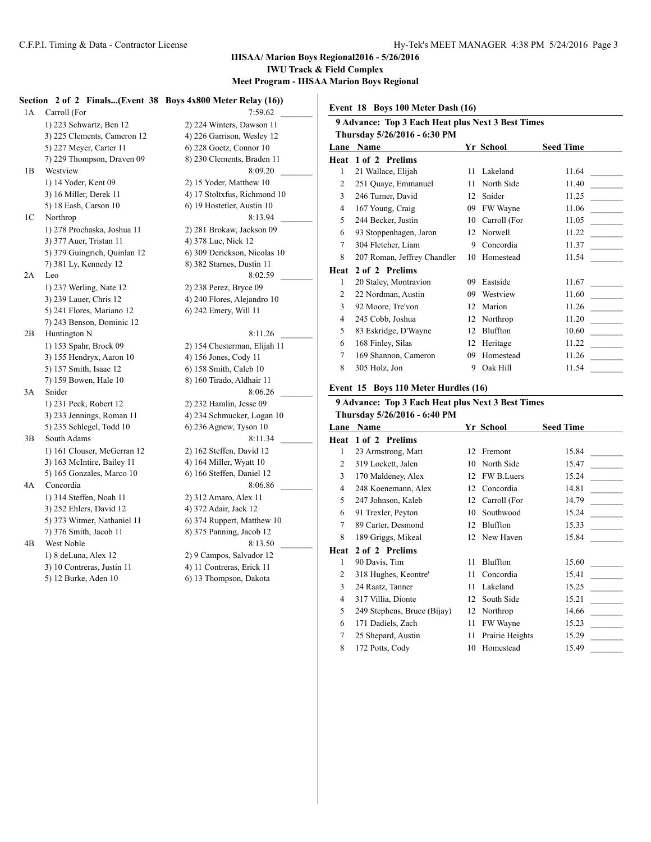#### **IHSAA/ Marion Boys Regional2016 - 5/26/2016 IWU Track & Field Complex**

# **Meet Program - IHSAA Marion Boys Regional**

**Section 2 of 2 Finals...(Event 38 Boys 4x800 Meter Relay (16))**

1A Carroll (For 7:59.62) 1) 223 Schwartz, Ben 12 2) 224 Winters, Dawson 11 3) 225 Clements, Cameron 12 4) 226 Garrison, Wesley 12 5) 227 Meyer, Carter 11 6) 228 Goetz, Connor 10 7) 229 Thompson, Draven 09 8) 230 Clements, Braden 11 1B Westview 8:09.20 1) 14 Yoder, Kent 09 2) 15 Yoder, Matthew 10 3) 16 Miller, Derek 11 4) 17 Stoltxfus, Richmond 10 5) 18 Eash, Carson 10 6) 19 Hostetler, Austin 10 1C Northrop 8:13.94 1) 278 Prochaska, Joshua 11 2) 281 Brokaw, Jackson 09 3) 377 Auer, Tristan 11 4) 378 Luc, Nick 12 5) 379 Guingrich, Quinlan 12 6) 309 Derickson, Nicolas 10 7) 381 Ly, Kennedy 12 8) 382 Starnes, Dustin 11 2A Leo 8:02.59 1) 237 Werling, Nate 12 2) 238 Perez, Bryce 09 3) 239 Lauer, Chris 12 4) 240 Flores, Alejandro 10 5) 241 Flores, Mariano 12 6) 242 Emery, Will 11 7) 243 Benson, Dominic 12 2B Huntington N 8:11.26 1) 153 Spahr, Brock 09 2) 154 Chesterman, Elijah 11 3) 155 Hendryx, Aaron 10 4) 156 Jones, Cody 11 5) 157 Smith, Isaac 12 6) 158 Smith, Caleb 10 7) 159 Bowen, Hale 10 8) 160 Tirado, Aldhair 11 3A Snider 8:06.26 1) 231 Peck, Robert 12 2) 232 Hamlin, Jesse 09 3) 233 Jennings, Roman 11 4) 234 Schmucker, Logan 10 5) 235 Schlegel, Todd 10 6) 236 Agnew, Tyson 10 3B South Adams 8:11.34 1) 161 Clouser, McGerran 12 2) 162 Steffen, David 12 3) 163 McIntire, Bailey 11 4) 164 Miller, Wyatt 10 5) 165 Gonzales, Marco 10 6) 166 Steffen, Daniel 12 4A Concordia 8:06.86 \_\_\_\_\_\_\_\_\_ 1) 314 Steffen, Noah 11 2) 312 Amaro, Alex 11 3) 252 Ehlers, David 12 4) 372 Adair, Jack 12 5) 373 Witmer, Nathaniel 11 6) 374 Ruppert, Matthew 10 7) 376 Smith, Jacob 11 8) 375 Panning, Jacob 12 4B West Noble 8:13.50 1) 8 deLuna, Alex 12 2) 9 Campos, Salvador 12 3) 10 Contreras, Justin 11 4) 11 Contreras, Erick 11

5) 12 Burke, Aden 10 6) 13 Thompson, Dakota

**Event 18 Boys 100 Meter Dash (16)**

|      | 9 Advance: Top 3 Each Heat plus Next 3 Best Times |    |              |                  |  |  |
|------|---------------------------------------------------|----|--------------|------------------|--|--|
|      | Thursday 5/26/2016 - 6:30 PM                      |    |              |                  |  |  |
| Lane | Name                                              |    | Yr School    | <b>Seed Time</b> |  |  |
| Heat | 1 of 2 Prelims                                    |    |              |                  |  |  |
| 1    | 21 Wallace, Elijah                                | 11 | Lakeland     | 11.64            |  |  |
| 2    | 251 Quaye, Emmanuel                               | 11 | North Side   | 11.40            |  |  |
| 3    | 246 Turner, David                                 | 12 | Snider       | 11.25            |  |  |
| 4    | 167 Young, Craig                                  | 09 | FW Wayne     | 11.06            |  |  |
| 5    | 244 Becker, Justin                                | 10 | Carroll (For | 11.05            |  |  |
| 6    | 93 Stoppenhagen, Jaron                            | 12 | Norwell      | 11.22            |  |  |
| 7    | 304 Fletcher, Liam                                | 9  | Concordia    | 11.37            |  |  |
| 8    | 207 Roman, Jeffrey Chandler                       | 10 | Homestead    | 11.54            |  |  |
| Heat | 2 of 2 Prelims                                    |    |              |                  |  |  |
| 1    | 20 Staley, Montravion                             | 09 | Eastside     | 11.67            |  |  |
| 2    | 22 Nordman, Austin                                | 09 | Westview     | 11.60            |  |  |
| 3    | 92 Moore, Tre'von                                 | 12 | Marion       | 11.26            |  |  |
| 4    | 245 Cobb, Joshua                                  | 12 | Northrop     | 11.20            |  |  |
| 5    | 83 Eskridge, D'Wayne                              | 12 | Bluffton     | 10.60            |  |  |
| 6    | 168 Finley, Silas                                 | 12 | Heritage     | 11.22            |  |  |
| 7    | 169 Shannon, Cameron                              | 09 | Homestead    | 11.26            |  |  |
| 8    | 305 Holz, Jon                                     | 9  | Oak Hill     | 11.54            |  |  |

#### **Event 15 Boys 110 Meter Hurdles (16)**

#### **9 Advance: Top 3 Each Heat plus Next 3 Best Times Thursday 5/26/2016 - 6:40 PM**

| Lane | Name                        |    | Yr School       | <b>Seed Time</b> |
|------|-----------------------------|----|-----------------|------------------|
| Heat | 1 of 2 Prelims              |    |                 |                  |
| 1    | 23 Armstrong, Matt          | 12 | Fremont         | 15.84            |
| 2    | 319 Lockett, Jalen          | 10 | North Side      | 15.47            |
| 3    | 170 Maldeney, Alex          | 12 | FW B.Luers      | 15.24            |
| 4    | 248 Koenemann, Alex         | 12 | Concordia       | 14.81            |
| 5    | 247 Johnson, Kaleb          | 12 | Carroll (For    | 14.79            |
| 6    | 91 Trexler, Peyton          | 10 | Southwood       | 15.24            |
| 7    | 89 Carter, Desmond          | 12 | Bluffton        | 15.33            |
| 8    | 189 Griggs, Mikeal          | 12 | New Haven       | 15.84            |
| Heat | 2 of 2 Prelims              |    |                 |                  |
| 1    | 90 Davis, Tim               | 11 | Bluffton        | 15.60            |
| 2    | 318 Hughes, Keontre'        | 11 | Concordia       | 15.41            |
| 3    | 24 Raatz, Tanner            | 11 | Lakeland        | 15.25            |
| 4    | 317 Villia, Dionte          | 12 | South Side      | 15.21            |
| 5    | 249 Stephens, Bruce (Bijay) | 12 | Northrop        | 14.66            |
| 6    | 171 Dadiels, Zach           | 11 | FW Wayne        | 15.23            |
| 7    | 25 Shepard, Austin          | 11 | Prairie Heights | 15.29            |
| 8    | 172 Potts, Cody             | 10 | Homestead       | 15.49            |
|      |                             |    |                 |                  |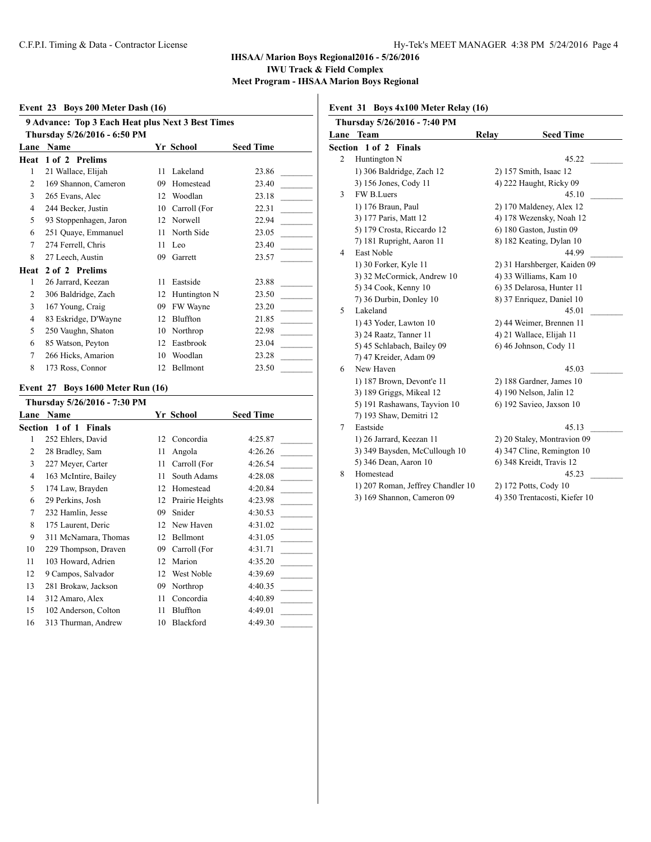### **Event 23 Boys 200 Meter Dash (16)**

|                              | 9 Advance: Top 3 Each Heat plus Next 3 Best Times |    |              |                  |  |
|------------------------------|---------------------------------------------------|----|--------------|------------------|--|
| Thursday 5/26/2016 - 6:50 PM |                                                   |    |              |                  |  |
| Lane                         | Name                                              |    | Yr School    | <b>Seed Time</b> |  |
| Heat                         | 1 of 2 Prelims                                    |    |              |                  |  |
| 1                            | 21 Wallace, Elijah                                | 11 | Lakeland     | 23.86            |  |
| 2                            | 169 Shannon, Cameron                              | 09 | Homestead    | 23.40            |  |
| 3                            | 265 Evans, Alec                                   | 12 | Woodlan      | 23.18            |  |
| $\overline{4}$               | 244 Becker, Justin                                | 10 | Carroll (For | 22.31            |  |
| 5                            | 93 Stoppenhagen, Jaron                            | 12 | Norwell      | 22.94            |  |
| 6                            | 251 Quaye, Emmanuel                               | 11 | North Side   | 23.05            |  |
| $\tau$                       | 274 Ferrell, Chris                                | 11 | Leo          | 23.40            |  |
| 8                            | 27 Leech, Austin                                  | 09 | Garrett      | 23.57            |  |
| Heat                         | 2 of 2 Prelims                                    |    |              |                  |  |
| 1                            | 26 Jarrard, Keezan                                | 11 | Eastside     | 23.88            |  |
| $\overline{c}$               | 306 Baldridge, Zach                               | 12 | Huntington N | 23.50            |  |
| 3                            | 167 Young, Craig                                  | 09 | FW Wayne     | 23.20            |  |
| $\overline{4}$               | 83 Eskridge, D'Wayne                              | 12 | Bluffton     | 21.85            |  |
| 5                            | 250 Vaughn, Shaton                                | 10 | Northrop     | 22.98            |  |
| 6                            | 85 Watson, Peyton                                 | 12 | Eastbrook    | 23.04            |  |
| $\tau$                       | 266 Hicks, Amarion                                | 10 | Woodlan      | 23.28            |  |
| 8                            | 173 Ross, Connor                                  | 12 | Bellmont     | 23.50            |  |

### **Event 27 Boys 1600 Meter Run (16)**

|      | Thursday 5/26/2016 - 7:30 PM    |    |                 |                  |
|------|---------------------------------|----|-----------------|------------------|
| Lane | Name                            |    | Yr School       | <b>Seed Time</b> |
|      | Section 1 of 1<br><b>Finals</b> |    |                 |                  |
| 1    | 252 Ehlers, David               | 12 | Concordia       | 4:25.87          |
| 2    | 28 Bradley, Sam                 | 11 | Angola          | 4:26.26          |
| 3    | 227 Meyer, Carter               | 11 | Carroll (For    | 4:26.54          |
| 4    | 163 McIntire, Bailey            | 11 | South Adams     | 4:28.08          |
| 5    | 174 Law, Brayden                | 12 | Homestead       | 4:20.84          |
| 6    | 29 Perkins, Josh                | 12 | Prairie Heights | 4:23.98          |
| 7    | 232 Hamlin, Jesse               | 09 | Snider          | 4:30.53          |
| 8    | 175 Laurent, Deric              | 12 | New Haven       | 4:31.02          |
| 9    | 311 McNamara, Thomas            | 12 | Bellmont        | 4:31.05          |
| 10   | 229 Thompson, Draven            | 09 | Carroll (For    | 4:31.71          |
| 11   | 103 Howard, Adrien              | 12 | Marion          | 4:35.20          |
| 12   | 9 Campos, Salvador              | 12 | West Noble      | 4:39.69          |
| 13   | 281 Brokaw, Jackson             | 09 | Northrop        | 4:40.35          |
| 14   | 312 Amaro, Alex                 | 11 | Concordia       | 4:40.89          |
| 15   | 102 Anderson, Colton            | 11 | Bluffton        | 4:49.01          |
| 16   | 313 Thurman, Andrew             | 10 | Blackford       | 4:49.30          |

## **Event 31 Boys 4x100 Meter Relay (16)**

| Thursday 5/26/2016 - 7:40 PM |                                   |       |                               |  |
|------------------------------|-----------------------------------|-------|-------------------------------|--|
|                              | Lane Team                         | Relay | <b>Seed Time</b>              |  |
|                              | Section 1 of 2 Finals             |       |                               |  |
| $\overline{c}$               | Huntington N                      |       | 45.22                         |  |
|                              | 1) 306 Baldridge, Zach 12         |       | 2) 157 Smith, Isaac 12        |  |
|                              | 3) 156 Jones, Cody 11             |       | 4) 222 Haught, Ricky 09       |  |
| 3                            | FW B.Luers                        |       | 45.10                         |  |
|                              | 1) 176 Braun, Paul                |       | 2) 170 Maldeney, Alex 12      |  |
|                              | 3) 177 Paris, Matt 12             |       | 4) 178 Wezensky, Noah 12      |  |
|                              | 5) 179 Crosta, Riccardo 12        |       | 6) 180 Gaston, Justin 09      |  |
|                              | 7) 181 Rupright, Aaron 11         |       | 8) 182 Keating, Dylan 10      |  |
| 4                            | East Noble                        |       | 44.99                         |  |
|                              | 1) 30 Forker, Kyle 11             |       | 2) 31 Harshberger, Kaiden 09  |  |
|                              | 3) 32 McCormick, Andrew 10        |       | 4) 33 Williams, Kam 10        |  |
|                              | 5) 34 Cook, Kenny 10              |       | 6) 35 Delarosa, Hunter 11     |  |
|                              | 7) 36 Durbin, Donley 10           |       | 8) 37 Enriquez, Daniel 10     |  |
| 5                            | Lakeland                          |       | 45.01                         |  |
|                              | 1) 43 Yoder, Lawton 10            |       | 2) 44 Weimer, Brennen 11      |  |
|                              | 3) 24 Raatz, Tanner 11            |       | 4) 21 Wallace, Elijah 11      |  |
|                              | 5) 45 Schlabach, Bailey 09        |       | 6) 46 Johnson, Cody 11        |  |
|                              | 7) 47 Kreider, Adam 09            |       |                               |  |
| 6                            | New Haven                         |       | 45.03                         |  |
|                              | 1) 187 Brown, Devont'e 11         |       | 2) 188 Gardner, James 10      |  |
|                              | 3) 189 Griggs, Mikeal 12          |       | 4) 190 Nelson, Jalin 12       |  |
|                              | 5) 191 Rashawans, Tayvion 10      |       | 6) 192 Savieo, Jaxson 10      |  |
|                              | 7) 193 Shaw, Demitri 12           |       |                               |  |
| 7                            | Eastside                          |       | 45.13                         |  |
|                              | 1) 26 Jarrard, Keezan 11          |       | 2) 20 Staley, Montravion 09   |  |
|                              | 3) 349 Baysden, McCullough 10     |       | 4) 347 Cline, Remington 10    |  |
|                              | 5) 346 Dean, Aaron 10             |       | 6) 348 Kreidt, Travis 12      |  |
| 8                            | Homestead                         |       | 45.23                         |  |
|                              | 1) 207 Roman, Jeffrey Chandler 10 |       | 2) 172 Potts, Cody 10         |  |
|                              | 3) 169 Shannon, Cameron 09        |       | 4) 350 Trentacosti, Kiefer 10 |  |
|                              |                                   |       |                               |  |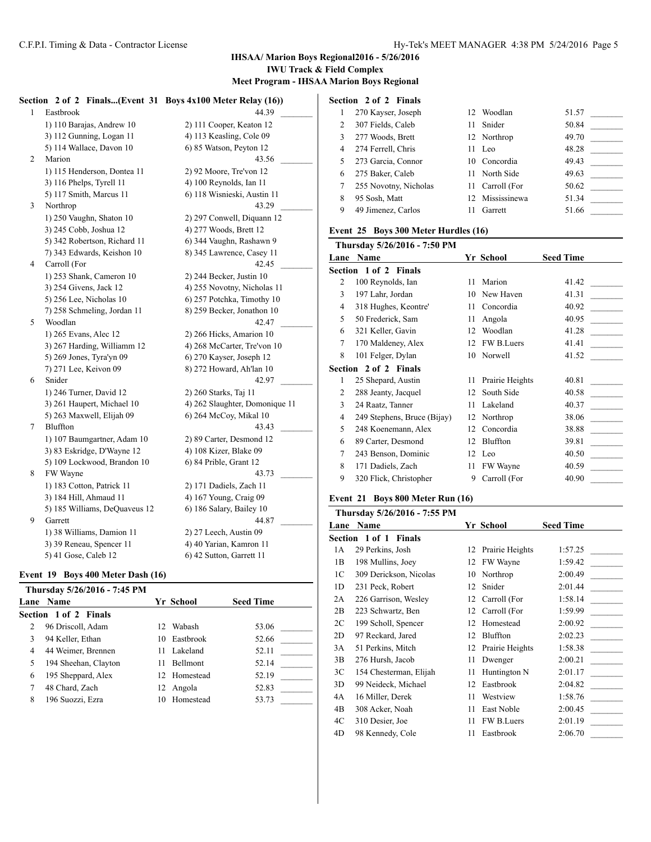# **IHSAA/ Marion Boys Regional2016 - 5/26/2016 IWU Track & Field Complex**

**Meet Program - IHSAA Marion Boys Regional**

|   | Section 2 of 2                | Finals(Event 31 Boys 4x100 Meter Relay (16)) |
|---|-------------------------------|----------------------------------------------|
| 1 | Eastbrook                     | 44.39                                        |
|   | 1) 110 Barajas, Andrew 10     | 2) 111 Cooper, Keaton 12                     |
|   | 3) 112 Gunning, Logan 11      | 4) 113 Keasling, Cole 09                     |
|   | 5) 114 Wallace, Davon 10      | 6) 85 Watson, Peyton 12                      |
| 2 | Marion                        | 43.56                                        |
|   | 1) 115 Henderson, Dontea 11   | 2) 92 Moore, Tre'von 12                      |
|   | 3) 116 Phelps, Tyrell 11      | 4) 100 Reynolds, Ian 11                      |
|   | 5) 117 Smith, Marcus 11       | 6) 118 Wisnieski, Austin 11                  |
| 3 | Northrop                      | 43.29                                        |
|   | 1) 250 Vaughn, Shaton 10      | 2) 297 Conwell, Diquann 12                   |
|   | 3) 245 Cobb, Joshua 12        | 4) 277 Woods, Brett 12                       |
|   | 5) 342 Robertson, Richard 11  | 6) 344 Vaughn, Rashawn 9                     |
|   | 7) 343 Edwards, Keishon 10    | 8) 345 Lawrence, Casey 11                    |
| 4 | Carroll (For                  | 42.45                                        |
|   | 1) 253 Shank, Cameron 10      | 2) 244 Becker, Justin 10                     |
|   | 3) 254 Givens, Jack 12        | 4) 255 Novotny, Nicholas 11                  |
|   | 5) 256 Lee, Nicholas 10       | 6) 257 Potchka, Timothy 10                   |
|   | 7) 258 Schmeling, Jordan 11   | 8) 259 Becker, Jonathon 10                   |
| 5 | Woodlan                       | 42.47                                        |
|   | 1) 265 Evans, Alec 12         | 2) 266 Hicks, Amarion 10                     |
|   | 3) 267 Harding, Williamm 12   | 4) 268 McCarter, Tre'von 10                  |
|   | 5) 269 Jones, Tyra'yn 09      | 6) 270 Kayser, Joseph 12                     |
|   | 7) 271 Lee, Keivon 09         | 8) 272 Howard, Ah'lan 10                     |
| 6 | Snider                        | 42.97                                        |
|   | 1) 246 Turner, David 12       | 2) 260 Starks, Taj 11                        |
|   | 3) 261 Haupert, Michael 10    | 4) 262 Slaughter, Domonique 11               |
|   | 5) 263 Maxwell, Elijah 09     | 6) 264 McCoy, Mikal 10                       |
| 7 | Bluffton                      | 43.43                                        |
|   | 1) 107 Baumgartner, Adam 10   | 2) 89 Carter, Desmond 12                     |
|   | 3) 83 Eskridge, D'Wayne 12    | 4) 108 Kizer, Blake 09                       |
|   | 5) 109 Lockwood, Brandon 10   | 6) 84 Prible, Grant 12                       |
| 8 | FW Wayne                      | 43.73                                        |
|   | 1) 183 Cotton, Patrick 11     | 2) 171 Dadiels, Zach 11                      |
|   | 3) 184 Hill, Ahmaud 11        | 4) 167 Young, Craig 09                       |
|   | 5) 185 Williams, DeQuaveus 12 | 6) 186 Salary, Bailey 10                     |
| 9 | Garrett                       | 44.87                                        |
|   | 1) 38 Williams, Damion 11     | 2) 27 Leech, Austin 09                       |
|   | 3) 39 Reneau, Spencer 11      | 4) 40 Yarian, Kamron 11                      |
|   | 5) 41 Gose, Caleb 12          | 6) 42 Sutton, Garrett 11                     |

#### **Event 19 Boys 400 Meter Dash (16)**

|   | Thursday 5/26/2016 - 7:45 PM |     |                 |                  |
|---|------------------------------|-----|-----------------|------------------|
|   | Lane Name                    |     | Yr School       | <b>Seed Time</b> |
|   | Section 1 of 2 Finals        |     |                 |                  |
| 2 | 96 Driscoll, Adam            |     | 12 Wabash       | 53.06            |
| 3 | 94 Keller, Ethan             |     | 10 Eastbrook    | 52.66            |
| 4 | 44 Weimer, Brennen           |     | 11 Lakeland     | 52.11            |
| 5 | 194 Sheehan, Clayton         | 11  | <b>Bellmont</b> | 52.14            |
| 6 | 195 Sheppard, Alex           |     | 12 Homestead    | 52.19            |
| 7 | 48 Chard, Zach               | 12. | Angola          | 52.83            |
| 8 | 196 Suozzi, Ezra             | 10  | Homestead       | 53.73            |

| Section 2 of 2 Finals |                       |     |                 |       |
|-----------------------|-----------------------|-----|-----------------|-------|
| 1                     | 270 Kayser, Joseph    | 12. | Woodlan         | 51.57 |
| 2                     | 307 Fields, Caleb     |     | 11 Snider       | 50.84 |
| 3                     | 277 Woods, Brett      |     | 12 Northrop     | 49.70 |
| 4                     | 274 Ferrell, Chris    |     | $11$ Leo        | 48.28 |
| 5                     | 273 Garcia, Connor    |     | 10 Concordia    | 49.43 |
| 6                     | 275 Baker, Caleb      |     | 11 North Side   | 49.63 |
| 7                     | 255 Novotny, Nicholas |     | 11 Carroll (For | 50.62 |
| 8                     | 95 Sosh, Matt         | 12. | Mississinewa    | 51.34 |
| 9                     | 49 Jimenez, Carlos    |     | Garrett         | 51.66 |

### **Event 25 Boys 300 Meter Hurdles (16)**

|      | Thursday 5/26/2016 - 7:50 PM |    |                 |                  |
|------|------------------------------|----|-----------------|------------------|
| Lane | Name                         |    | Yr School       | <b>Seed Time</b> |
|      | Section 1 of 2 Finals        |    |                 |                  |
| 2    | 100 Reynolds, Ian            | 11 | Marion          | 41.42            |
| 3    | 197 Lahr, Jordan             | 10 | New Haven       | 41.31            |
| 4    | 318 Hughes, Keontre'         | 11 | Concordia       | 40.92            |
| 5    | 50 Frederick, Sam            | 11 | Angola          | 40.95            |
| 6    | 321 Keller, Gavin            | 12 | Woodlan         | 41.28            |
| 7    | 170 Maldeney, Alex           | 12 | FW B.Luers      | 41.41            |
| 8    | 101 Felger, Dylan            | 10 | Norwell         | 41.52            |
|      | Section 2 of 2 Finals        |    |                 |                  |
| 1    | 25 Shepard, Austin           | 11 | Prairie Heights | 40.81            |
| 2    | 288 Jeanty, Jacquel          | 12 | South Side      | 40.58            |
| 3    | 24 Raatz, Tanner             | 11 | Lakeland        | 40.37            |
| 4    | 249 Stephens, Bruce (Bijay)  | 12 | Northrop        | 38.06            |
| 5    | 248 Koenemann, Alex          | 12 | Concordia       | 38.88            |
| 6    | 89 Carter, Desmond           | 12 | Bluffton        | 39.81            |
| 7    | 243 Benson, Dominic          | 12 | Leo             | 40.50            |
| 8    | 171 Dadiels, Zach            | 11 | FW Wayne        | 40.59            |
| 9    | 320 Flick, Christopher       | 9  | Carroll (For    | 40.90            |
|      |                              |    |                 |                  |

## **Event 21 Boys 800 Meter Run (16)**

|                | Thursday 5/26/2016 - 7:55 PM    |    |                 |                  |
|----------------|---------------------------------|----|-----------------|------------------|
| Lane           | Name                            |    | Yr School       | <b>Seed Time</b> |
|                | Section 1 of 1<br><b>Finals</b> |    |                 |                  |
| 1A             | 29 Perkins, Josh                | 12 | Prairie Heights | 1:57.25          |
| 1B             | 198 Mullins, Joey               | 12 | FW Wayne        | 1:59.42          |
| 1C             | 309 Derickson, Nicolas          | 10 | Northrop        | 2:00.49          |
| 1 <sub>D</sub> | 231 Peck, Robert                | 12 | Snider          | 2:01.44          |
| 2A             | 226 Garrison, Wesley            | 12 | Carroll (For    | 1:58.14          |
| 2B             | 223 Schwartz, Ben               | 12 | Carroll (For    | 1:59.99          |
| 2C             | 199 Scholl, Spencer             | 12 | Homestead       | 2:00.92          |
| 2D             | 97 Reckard, Jared               | 12 | Bluffton        | 2:02.23          |
| 3A             | 51 Perkins, Mitch               | 12 | Prairie Heights | 1:58.38          |
| 3B             | 276 Hursh, Jacob                | 11 | Dwenger         | 2:00.21          |
| 3C             | 154 Chesterman, Elijah          | 11 | Huntington N    | 2:01.17          |
| 3D             | 99 Neideck, Michael             | 12 | Eastbrook       | 2:04.82          |
| 4A             | 16 Miller, Derek                | 11 | Westview        | 1:58.76          |
| 4B             | 308 Acker, Noah                 | 11 | East Noble      | 2:00.45          |
| 4C             | 310 Desier, Joe                 | 11 | FW B.Luers      | 2:01.19          |
| 4D             | 98 Kennedy, Cole                | 11 | Eastbrook       | 2:06.70          |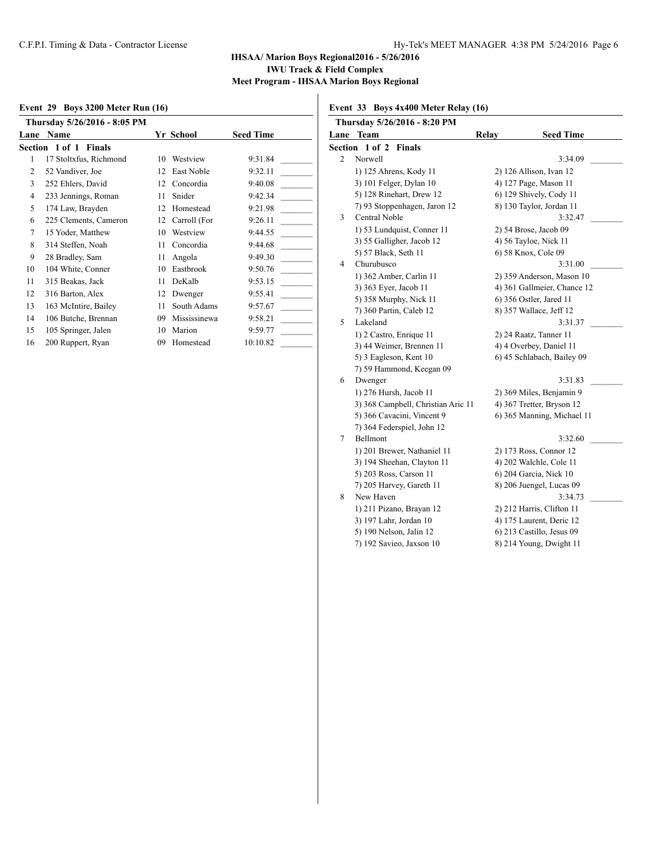### **Event 29 Boys 3200 Meter Run (16)**

|                | Thursday 5/26/2016 - 8:05 PM |    |              |                  |
|----------------|------------------------------|----|--------------|------------------|
| Lane           | Name                         |    | Yr School    | <b>Seed Time</b> |
|                | Section 1 of 1 Finals        |    |              |                  |
| 1              | 17 Stoltxfus, Richmond       | 10 | Westview     | 9:31.84          |
| $\overline{c}$ | 52 Vandiver, Joe             | 12 | East Noble   | 9:32.11          |
| 3              | 252 Ehlers, David            | 12 | Concordia    | 9:40.08          |
| $\overline{4}$ | 233 Jennings, Roman          | 11 | Snider       | 9:42.34          |
| 5              | 174 Law, Brayden             | 12 | Homestead    | 9:21.98          |
| 6              | 225 Clements, Cameron        | 12 | Carroll (For | 9:26.11          |
| $\tau$         | 15 Yoder, Matthew            | 10 | Westview     | 9:44.55          |
| 8              | 314 Steffen, Noah            | 11 | Concordia    | 9:44.68          |
| 9              | 28 Bradley, Sam              | 11 | Angola       | 9:49.30          |
| 10             | 104 White, Conner            | 10 | Eastbrook    | 9:50.76          |
| 11             | 315 Beakas, Jack             | 11 | DeKalb       | 9:53.15          |
| 12             | 316 Barton, Alex             | 12 | Dwenger      | 9:55.41          |
| 13             | 163 McIntire, Bailey         | 11 | South Adams  | 9:57.67          |
| 14             | 106 Butche, Brennan          | 09 | Mississinewa | 9:58.21          |
| 15             | 105 Springer, Jalen          | 10 | Marion       | 9:59.77          |
| 16             | 200 Ruppert, Ryan            | 09 | Homestead    | 10:10.82         |

**Event 33 Boys 4x400 Meter Relay (16)**

| Thursday 5/26/2016 - 8:20 PM |                                    |                             |  |  |
|------------------------------|------------------------------------|-----------------------------|--|--|
| Lane                         | <b>Team</b>                        | Relay<br><b>Seed Time</b>   |  |  |
| Section                      | $1$ of $2$<br><b>Finals</b>        |                             |  |  |
| 2                            | Norwell                            | 3:34.09                     |  |  |
|                              | 1) 125 Ahrens, Kody 11             | 2) 126 Allison, Ivan 12     |  |  |
|                              | 3) 101 Felger, Dylan 10            | 4) 127 Page, Mason 11       |  |  |
|                              | 5) 128 Rinehart, Drew 12           | 6) 129 Shively, Cody 11     |  |  |
|                              | 7) 93 Stoppenhagen, Jaron 12       | 8) 130 Taylor, Jordan 11    |  |  |
| 3                            | Central Noble                      | 3:32.47                     |  |  |
|                              | 1) 53 Lundquist, Conner 11         | 2) 54 Brose, Jacob 09       |  |  |
|                              | 3) 55 Galligher, Jacob 12          | 4) 56 Tayloe, Nick 11       |  |  |
|                              | 5) 57 Black, Seth 11               | 6) 58 Knox, Cole 09         |  |  |
| 4                            | Churubusco                         | 3:31.00                     |  |  |
|                              | 1) 362 Amber, Carlin 11            | 2) 359 Anderson, Mason 10   |  |  |
|                              | 3) 363 Eyer, Jacob 11              | 4) 361 Gallmeier, Chance 12 |  |  |
|                              | 5) 358 Murphy, Nick 11             | 6) 356 Ostler, Jared 11     |  |  |
|                              | 7) 360 Partin, Caleb 12            | 8) 357 Wallace, Jeff 12     |  |  |
| 5                            | Lakeland                           | 3:31.37                     |  |  |
|                              | 1) 2 Castro, Enrique 11            | 2) 24 Raatz, Tanner 11      |  |  |
|                              | 3) 44 Weimer, Brennen 11           | 4) 4 Overbey, Daniel 11     |  |  |
|                              | 5) 3 Eagleson, Kent 10             | 6) 45 Schlabach, Bailey 09  |  |  |
|                              | 7) 59 Hammond, Keegan 09           |                             |  |  |
| 6                            | Dwenger                            | 3:31.83                     |  |  |
|                              | 1) 276 Hursh, Jacob 11             | 2) 369 Miles, Benjamin 9    |  |  |
|                              | 3) 368 Campbell, Christian Aric 11 | 4) 367 Tretter, Bryson 12   |  |  |
|                              | 5) 366 Cavacini, Vincent 9         | 6) 365 Manning, Michael 11  |  |  |
|                              | 7) 364 Federspiel, John 12         |                             |  |  |
| 7                            | Bellmont                           | 3:32.60                     |  |  |
|                              | 1) 201 Brewer, Nathaniel 11        | 2) 173 Ross, Connor 12      |  |  |
|                              | 3) 194 Sheehan, Clayton 11         | 4) 202 Walchle, Cole 11     |  |  |
|                              | 5) 203 Ross, Carson 11             | 6) 204 Garcia, Nick 10      |  |  |
|                              | 7) 205 Harvey, Gareth 11           | 8) 206 Juengel, Lucas 09    |  |  |
| 8                            | New Haven                          | 3:34.73                     |  |  |
|                              | 1) 211 Pizano, Brayan 12           | 2) 212 Harris, Clifton 11   |  |  |
|                              | 3) 197 Lahr, Jordan 10             | 4) 175 Laurent, Deric 12    |  |  |
|                              | 5) 190 Nelson, Jalin 12            | 6) 213 Castillo, Jesus 09   |  |  |
|                              | 7) 192 Savieo, Jaxson 10           | 8) 214 Young, Dwight 11     |  |  |